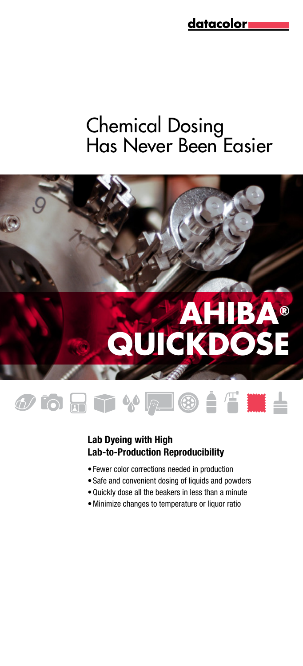# Chemical Dosing Has Never Been Easier



# **OORTVLOIT IL**

### Lab Dyeing with High Lab-to-Production Reproducibility

- • Fewer color corrections needed in production
- Safe and convenient dosing of liquids and powders
- • Quickly dose all the beakers in less than a minute
- • Minimize changes to temperature or liquor ratio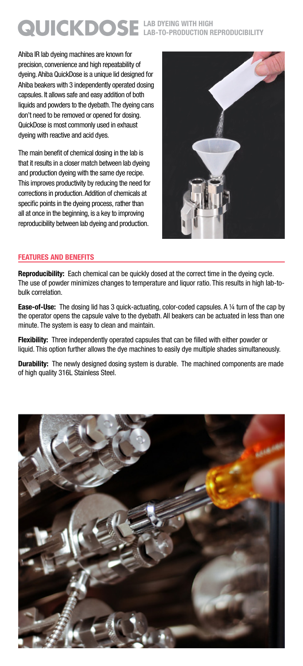## Lab Dyeing with High **QUICKDOSE** LAB DYEING WITH HIGH

Ahiba IR lab dyeing machines are known for precision, convenience and high repeatability of dyeing. Ahiba QuickDose is a unique lid designed for Ahiba beakers with 3 independently operated dosing capsules. It allows safe and easy addition of both liquids and powders to the dyebath. The dyeing cans don't need to be removed or opened for dosing. QuickDose is most commonly used in exhaust dyeing with reactive and acid dyes.

The main benefit of chemical dosing in the lab is that it results in a closer match between lab dyeing and production dyeing with the same dye recipe. This improves productivity by reducing the need for corrections in production. Addition of chemicals at specific points in the dyeing process, rather than all at once in the beginning, is a key to improving reproducibility between lab dyeing and production.



#### FeatuReS anD beneFitS

Reproducibility: Each chemical can be quickly dosed at the correct time in the dyeing cycle. The use of powder minimizes changes to temperature and liquor ratio. This results in high lab-tobulk correlation.

Ease-of-Use: The dosing lid has 3 quick-actuating, color-coded capsules. A 1/4 turn of the cap by the operator opens the capsule valve to the dyebath. All beakers can be actuated in less than one minute. The system is easy to clean and maintain.

**Flexibility:** Three independently operated capsules that can be filled with either powder or liquid. This option further allows the dye machines to easily dye multiple shades simultaneously.

**Durability:** The newly designed dosing system is durable. The machined components are made of high quality 316L Stainless Steel.

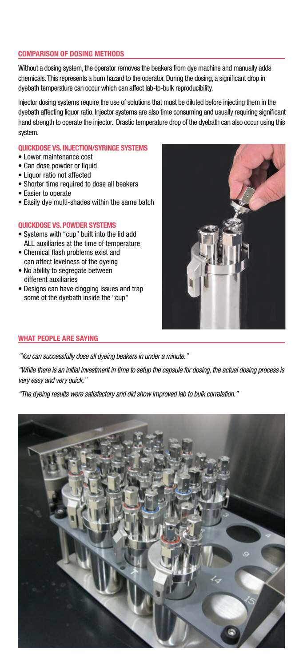#### Comparison of dosing methods

Without a dosing system, the operator removes the beakers from dye machine and manually adds chemicals.This represents a burn hazard to the operator. During the dosing, a significant drop in dyebath temperature can occur which can affect lab-to-bulk reproducibility.

Injector dosing systems require the use of solutions that must be diluted before injecting them in the dyebath affecting liquor ratio. Injector systems are also time consuming and usually requiring significant hand strength to operate the injector. Drastic temperature drop of the dyebath can also occur using this system.

#### QUICKDOSE VS. INJECTION/SYRINGE SYSTEMS

- Lower maintenance cost
- Can dose powder or liquid
- Liquor ratio not affected
- Shorter time required to dose all beakers
- Easier to operate
- Easily dye multi-shades within the same batch

#### QUICKDOSE VS. POWDER SYSTEMS

- Systems with "cup" built into the lid add ALL auxiliaries at the time of temperature
- Chemical flash problems exist and can affect levelness of the dyeing
- No ability to segregate between different auxiliaries
- Designs can have clogging issues and trap some of the dyebath inside the "cup"



#### What People are saying

*"You can successfully dose all dyeing beakers in under a minute."*

*"While there is an initial investment in time to setup the capsule for dosing, the actual dosing process is very easy and very quick."*

*"The dyeing results were satisfactory and did show improved lab to bulk correlation."*